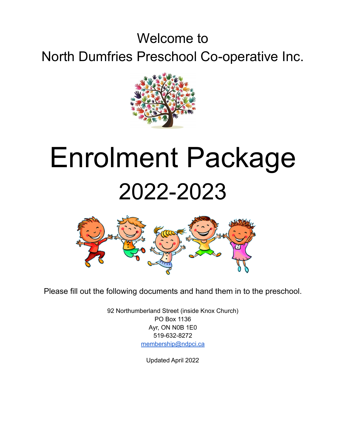# Welcome to North Dumfries Preschool Co-operative Inc.



# Enrolment Package 2022-2023



Please fill out the following documents and hand them in to the preschool.

92 Northumberland Street (inside Knox Church) PO Box 1136 Ayr, ON N0B 1E0 519-632-8272 [membership@ndpci.ca](mailto:membership@ndpci.ca)

Updated April 2022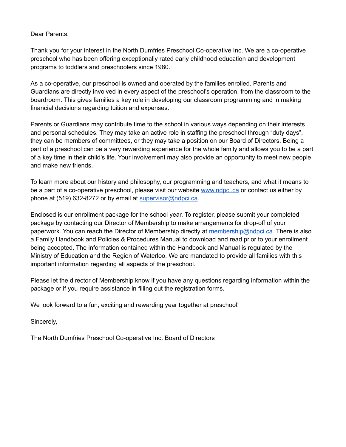Dear Parents,

Thank you for your interest in the North Dumfries Preschool Co-operative Inc. We are a co-operative preschool who has been offering exceptionally rated early childhood education and development programs to toddlers and preschoolers since 1980.

As a co-operative, our preschool is owned and operated by the families enrolled. Parents and Guardians are directly involved in every aspect of the preschool's operation, from the classroom to the boardroom. This gives families a key role in developing our classroom programming and in making financial decisions regarding tuition and expenses.

Parents or Guardians may contribute time to the school in various ways depending on their interests and personal schedules. They may take an active role in staffing the preschool through "duty days", they can be members of committees, or they may take a position on our Board of Directors. Being a part of a preschool can be a very rewarding experience for the whole family and allows you to be a part of a key time in their child's life. Your involvement may also provide an opportunity to meet new people and make new friends.

To learn more about our history and philosophy, our programming and teachers, and what it means to be a part of a co-operative preschool, please visit our website [www.ndpci.ca](http://www.ndpci.ca) or contact us either by phone at (519) 632-8272 or by email at [supervisor@ndpci.ca.](mailto:supervisor@ndpci.ca)

Enclosed is our enrollment package for the school year. To register, please submit your completed package by contacting our Director of Membership to make arrangements for drop-off of your paperwork. You can reach the Director of Membership directly at [membership@ndpci.ca.](mailto:memebership@ndpci.ca) There is also a Family Handbook and Policies & Procedures Manual to download and read prior to your enrollment being accepted. The information contained within the Handbook and Manual is regulated by the Ministry of Education and the Region of Waterloo. We are mandated to provide all families with this important information regarding all aspects of the preschool.

Please let the director of Membership know if you have any questions regarding information within the package or if you require assistance in filling out the registration forms.

We look forward to a fun, exciting and rewarding year together at preschool!

Sincerely,

The North Dumfries Preschool Co-operative Inc. Board of Directors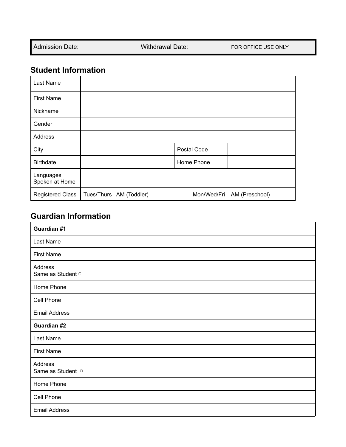Admission Date: Withdrawal Date: Withdrawal Date: FOR OFFICE USE ONLY

 $\overline{\phantom{0}}$ 

## **Student Information**

| Last Name                   |                         |                            |
|-----------------------------|-------------------------|----------------------------|
| <b>First Name</b>           |                         |                            |
| Nickname                    |                         |                            |
| Gender                      |                         |                            |
| Address                     |                         |                            |
| City                        |                         | Postal Code                |
| <b>Birthdate</b>            |                         | Home Phone                 |
| Languages<br>Spoken at Home |                         |                            |
| <b>Registered Class</b>     | Tues/Thurs AM (Toddler) | Mon/Wed/Fri AM (Preschool) |

## **Guardian Information**

| Guardian #1                  |  |  |  |  |
|------------------------------|--|--|--|--|
| Last Name                    |  |  |  |  |
| <b>First Name</b>            |  |  |  |  |
| Address<br>Same as Student o |  |  |  |  |
| Home Phone                   |  |  |  |  |
| Cell Phone                   |  |  |  |  |
| <b>Email Address</b>         |  |  |  |  |
| Guardian #2                  |  |  |  |  |
| Last Name                    |  |  |  |  |
| <b>First Name</b>            |  |  |  |  |
| Address<br>Same as Student o |  |  |  |  |
| Home Phone                   |  |  |  |  |
| Cell Phone                   |  |  |  |  |
| <b>Email Address</b>         |  |  |  |  |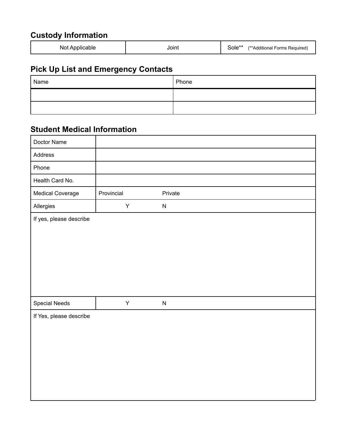# **Custody Information**

# **Pick Up List and Emergency Contacts**

| Name | Phone |
|------|-------|
|      |       |
|      |       |

## **Student Medical Information**

| Doctor Name             |            |           |
|-------------------------|------------|-----------|
| Address                 |            |           |
| Phone                   |            |           |
| Health Card No.         |            |           |
| Medical Coverage        | Provincial | Private   |
| Allergies               | Υ          | ${\sf N}$ |
| If yes, please describe |            |           |
| <b>Special Needs</b>    | Y          | ${\sf N}$ |
| If Yes, please describe |            |           |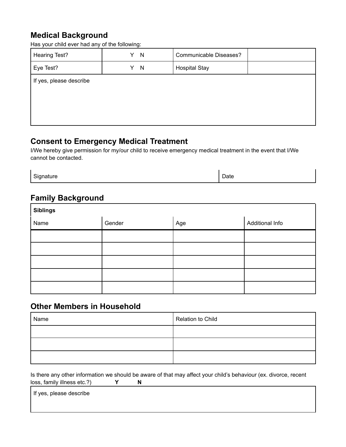#### **Medical Background**

Has your child ever had any of the following:

| <b>Hearing Test?</b>    | N<br>Y | Communicable Diseases? |  |  |
|-------------------------|--------|------------------------|--|--|
| Eye Test?               | N<br>Y | <b>Hospital Stay</b>   |  |  |
| If yes, please describe |        |                        |  |  |
|                         |        |                        |  |  |
|                         |        |                        |  |  |
|                         |        |                        |  |  |

#### **Consent to Emergency Medical Treatment**

I/We hereby give permission for my/our child to receive emergency medical treatment in the event that I/We cannot be contacted.

Signature Date Date Date Date

#### **Family Background**

| <b>Siblings</b> |        |     |                 |  |  |
|-----------------|--------|-----|-----------------|--|--|
| Name            | Gender | Age | Additional Info |  |  |
|                 |        |     |                 |  |  |
|                 |        |     |                 |  |  |
|                 |        |     |                 |  |  |
|                 |        |     |                 |  |  |
|                 |        |     |                 |  |  |

#### **Other Members in Household**

| Name | Relation to Child |  |  |
|------|-------------------|--|--|
|      |                   |  |  |
|      |                   |  |  |
|      |                   |  |  |

Is there any other information we should be aware of that may affect your child's behaviour (ex. divorce, recent loss, family illness etc.?) **Y N**

If yes, please describe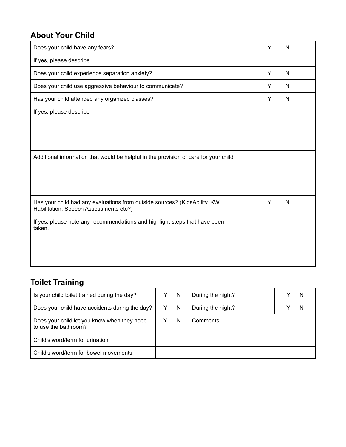## **About Your Child**

| Does your child have any fears?                                                                                     | Y | N            |
|---------------------------------------------------------------------------------------------------------------------|---|--------------|
| If yes, please describe                                                                                             |   |              |
| Does your child experience separation anxiety?                                                                      | Y | $\mathsf{N}$ |
| Does your child use aggressive behaviour to communicate?                                                            | Y | N            |
| Has your child attended any organized classes?                                                                      | Y | N            |
| If yes, please describe                                                                                             |   |              |
|                                                                                                                     |   |              |
|                                                                                                                     |   |              |
|                                                                                                                     |   |              |
| Additional information that would be helpful in the provision of care for your child                                |   |              |
|                                                                                                                     |   |              |
|                                                                                                                     |   |              |
|                                                                                                                     |   |              |
| Has your child had any evaluations from outside sources? (KidsAbility, KW<br>Habilitation, Speech Assessments etc?) | Y | $\mathsf{N}$ |
| If yes, please note any recommendations and highlight steps that have been<br>taken.                                |   |              |
|                                                                                                                     |   |              |
|                                                                                                                     |   |              |
|                                                                                                                     |   |              |

# **Toilet Training**

| Is your child toilet trained during the day?                        |  | N | During the night? |  |
|---------------------------------------------------------------------|--|---|-------------------|--|
| Does your child have accidents during the day?                      |  | N | During the night? |  |
| Does your child let you know when they need<br>to use the bathroom? |  | N | Comments:         |  |
| Child's word/term for urination                                     |  |   |                   |  |
| Child's word/term for bowel movements                               |  |   |                   |  |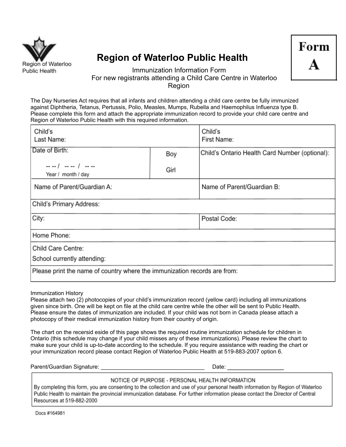

# **Region of Waterloo Public Health**



#### Immunization Information Form For new registrants attending a Child Care Centre in Waterloo Region

The Day Nurseries Act requires that all infants and children attending a child care centre be fully immunized against Diphtheria, Tetanus, Pertussis, Polio, Measles, Mumps, Rubella and Haemophilus Influenza type B. Please complete this form and attach the appropriate immunization record to provide your child care centre and Region of Waterloo Public Health with this required information.

| Child's<br>Last Name:                                                     |             | Child's<br>First Name:                         |  |
|---------------------------------------------------------------------------|-------------|------------------------------------------------|--|
| Date of Birth:<br>$- - -$ / $- -$ / $- -$                                 | Boy<br>Girl | Child's Ontario Health Card Number (optional): |  |
| Year / month / day<br>Name of Parent/Guardian A:                          |             | Name of Parent/Guardian B:                     |  |
| Child's Primary Address:                                                  |             |                                                |  |
| City:                                                                     |             | Postal Code:                                   |  |
| Home Phone:                                                               |             |                                                |  |
| Child Care Centre:<br>School currently attending:                         |             |                                                |  |
| Please print the name of country where the immunization records are from: |             |                                                |  |

Immunization History

Please attach two (2) photocopies of your child's immunization record (yellow card) including all immunizations given since birth. One will be kept on file at the child care centre while the other will be sent to Public Health. Please ensure the dates of immunization are included. If your child was not born in Canada please attach a photocopy of their medical immunization history from their country of origin.

The chart on the recersid eside of this page shows the required routine immunization schedule for children in Ontario (this schedule may change if your child misses any of these immunizations). Please review the chart to make sure your child is up-to-date according to the schedule. If you require assistance with reading the chart or your immunization record please contact Region of Waterloo Public Health at 519-883-2007 option 6.

| Parent/Guardian Signature: | Date: |  |
|----------------------------|-------|--|
|                            |       |  |

NOTICE OF PURPOSE - PERSONAL HEALTH INFORMATION

By completing this form, you are consenting to the collection and use of your personal health information by Region of Waterloo Public Health to maintain the provincial immunization database. For further information please contact the Director of Central Resources at 519-882-2000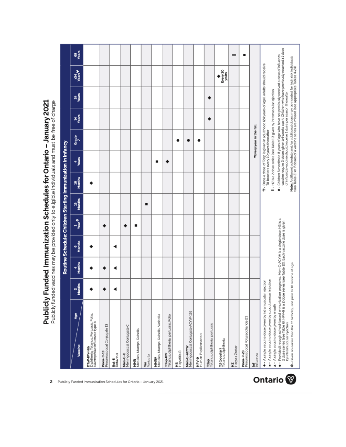Publicly Funded Immunization Schedules for Ontario - January 2021<br>Publicly funded vaccines may be provided only to eligible individuals and must be free of charge

|                                                                                                                                                                                                                                 |             |             |             |                                |              | Routine Schedule: Children Starting Immunization in Infancy |                                       |                                                                                        |             |     |                                                                                             |               |
|---------------------------------------------------------------------------------------------------------------------------------------------------------------------------------------------------------------------------------|-------------|-------------|-------------|--------------------------------|--------------|-------------------------------------------------------------|---------------------------------------|----------------------------------------------------------------------------------------|-------------|-----|---------------------------------------------------------------------------------------------|---------------|
| å<br>Vaccine                                                                                                                                                                                                                    | 2<br>Months | 4<br>Months | e<br>Months | $\frac{1}{\sqrt{\tan \theta}}$ | 15<br>Months | 18<br>Months                                                | Years<br>4                            | Grade                                                                                  | <b>Mans</b> | ağa | 134<br>Vears                                                                                | ugar<br>Maars |
| <b>DTaP-IPV-Hib</b><br>Diphtheria, Tetanus, Pertussis, Polio,<br><i>Haemophilus influenzae</i> type b                                                                                                                           |             |             |             |                                |              |                                                             |                                       |                                                                                        |             |     |                                                                                             |               |
| Preumococcal Corjugate 13<br>Pneu-C-13                                                                                                                                                                                          |             |             |             |                                |              |                                                             |                                       |                                                                                        |             |     |                                                                                             |               |
| <b>Rot-5</b><br>Rotavirus                                                                                                                                                                                                       |             |             |             |                                |              |                                                             |                                       |                                                                                        |             |     |                                                                                             |               |
| Meningococcal Conjugate C<br>Men-C-C                                                                                                                                                                                            |             |             |             |                                |              |                                                             |                                       |                                                                                        |             |     |                                                                                             |               |
| <b>MMR</b><br>Measles, Mumps, Rubella                                                                                                                                                                                           |             |             |             |                                |              |                                                             |                                       |                                                                                        |             |     |                                                                                             |               |
| Var<br>Varicella                                                                                                                                                                                                                |             |             |             |                                | ■            |                                                             |                                       |                                                                                        |             |     |                                                                                             |               |
| Measles, Mumps, Rubella, Varicella<br>MMRV                                                                                                                                                                                      |             |             |             |                                |              |                                                             | ■                                     |                                                                                        |             |     |                                                                                             |               |
| Tdap-IPV<br>Telanus, diphtheria, pertussis, Polio                                                                                                                                                                               |             |             |             |                                |              |                                                             |                                       |                                                                                        |             |     |                                                                                             |               |
| HB<br>Hepatitis B                                                                                                                                                                                                               |             |             |             |                                |              |                                                             |                                       |                                                                                        |             |     |                                                                                             |               |
| Meningococcal Conjugate ACYW-135<br>Men-C-ACYW                                                                                                                                                                                  |             |             |             |                                |              |                                                             |                                       |                                                                                        |             |     |                                                                                             |               |
| <b>HPV-9</b><br>Human Papillomavirus                                                                                                                                                                                            |             |             |             |                                |              |                                                             |                                       |                                                                                        |             |     |                                                                                             |               |
| <b>Tdap</b><br>Tetanus, diphtheria, pertussis                                                                                                                                                                                   |             |             |             |                                |              |                                                             |                                       |                                                                                        |             |     |                                                                                             |               |
| Td (booster)<br>Tetanus, diphtheria                                                                                                                                                                                             |             |             |             |                                |              |                                                             |                                       |                                                                                        |             |     | Every 10<br>years                                                                           |               |
| HZ<br>Herpes Zoster                                                                                                                                                                                                             |             |             |             |                                |              |                                                             |                                       |                                                                                        |             |     |                                                                                             |               |
| Pneumococcal Polysaccharide 23<br>Pneu-P-23                                                                                                                                                                                     |             |             |             |                                |              |                                                             |                                       |                                                                                        |             |     |                                                                                             | ■             |
| Influenza<br>Ĕ                                                                                                                                                                                                                  |             |             |             |                                |              |                                                             |                                       | *Every year in the fall                                                                |             |     |                                                                                             |               |
| ■ - A single vaccine dose given by subcutaneous injection<br>+ A single vaccine dose given by intramuscular injection                                                                                                           |             |             |             |                                |              |                                                             | Td boosters every 10 years thereafter |                                                                                        |             |     | The Once a dose of Tdap is given in adulthood (24 years of age), adults should receive      |               |
| A - A single vaccine dose given by mouth                                                                                                                                                                                        |             |             |             |                                |              |                                                             |                                       | I - HZ is a 2 dose series (see Table 12 given by intramuscular injection               |             |     | * Children 6 months to 8 years of age who have not previously received a dose of influenza  |               |
| ● - Provided through school-based immunization programs. Men-C-ACYW is a single dose; HB is a<br>2 dose series (see Table 6); HPV-9 is a 2 dose series (see Table 10). Each vaccine dose is given<br>by intramuscular injection |             |             |             |                                |              |                                                             |                                       | of influenza vaccine should receive 1 dose per season thereafter                       |             |     | vaccine require 2 doses given 24 weeks apart. Children who have previously received 21 dose |               |
| P - Given no earlier than the 1st birthday, and prior to 16 months of age                                                                                                                                                       |             |             |             |                                |              |                                                             |                                       | (see Table 3) or if doses of a vaccine series are missed (see appropriate Tables 4-24) |             |     | Note: A different schedule and/or additional doses may be needed for high risk individuals  |               |



2 Publicly Funded Immunization Schedules for Ontario - January 2021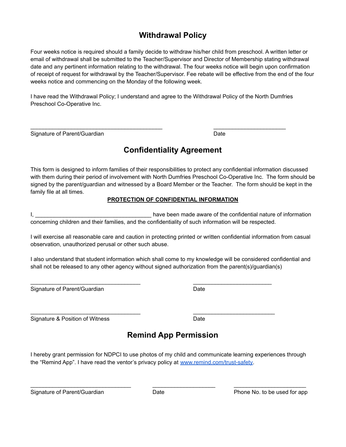### **Withdrawal Policy**

Four weeks notice is required should a family decide to withdraw his/her child from preschool. A written letter or email of withdrawal shall be submitted to the Teacher/Supervisor and Director of Membership stating withdrawal date and any pertinent information relating to the withdrawal. The four weeks notice will begin upon confirmation of receipt of request for withdrawal by the Teacher/Supervisor. Fee rebate will be effective from the end of the four weeks notice and commencing on the Monday of the following week.

I have read the Withdrawal Policy; I understand and agree to the Withdrawal Policy of the North Dumfries Preschool Co-Operative Inc.

 $\_$  , and the set of the set of the set of the set of the set of the set of the set of the set of the set of the set of the set of the set of the set of the set of the set of the set of the set of the set of the set of th

Signature of Parent/Guardian Date Controller and Date Date Date

#### **Confidentiality Agreement**

This form is designed to inform families of their responsibilities to protect any confidential information discussed with them during their period of involvement with North Dumfries Preschool Co-Operative Inc. The form should be signed by the parent/guardian and witnessed by a Board Member or the Teacher. The form should be kept in the family file at all times.

#### **PROTECTION OF CONFIDENTIAL INFORMATION**

I, \_\_\_\_\_\_\_\_\_\_\_\_\_\_\_\_\_\_\_\_\_\_\_\_\_\_\_\_\_\_\_\_\_\_\_\_\_ have been made aware of the confidential nature of information concerning children and their families, and the confidentiality of such information will be respected.

I will exercise all reasonable care and caution in protecting printed or written confidential information from casual observation, unauthorized perusal or other such abuse.

I also understand that student information which shall come to my knowledge will be considered confidential and shall not be released to any other agency without signed authorization from the parent(s)/guardian(s)

 $\mathcal{L}_\text{max}$  , and the set of the set of the set of the set of the set of the set of the set of the set of the set of the set of the set of the set of the set of the set of the set of the set of the set of the set of the

 $\mathcal{L}_\text{max}$  , and the contribution of the contribution of the contribution of the contribution of the contribution of the contribution of the contribution of the contribution of the contribution of the contribution of t

Signature of Parent/Guardian Date Date

Signature & Position of Witness Date

# **Remind App Permission**

I hereby grant permission for NDPCI to use photos of my child and communicate learning experiences through the "Remind App". I have read the ventor's privacy policy at [www.remind.com/trust-safety.](http://www.remind.com/trust-safety)

\_\_\_\_\_\_\_\_\_\_\_\_\_\_\_\_\_\_\_\_\_\_\_\_\_\_\_\_\_\_\_\_ \_\_\_\_\_\_\_\_\_\_\_\_\_\_\_\_\_\_\_\_ \_\_\_\_\_\_\_\_\_\_\_\_\_\_\_\_\_\_\_\_\_\_\_

Signature of Parent/Guardian **Date Date Date Phone No. to be used for app**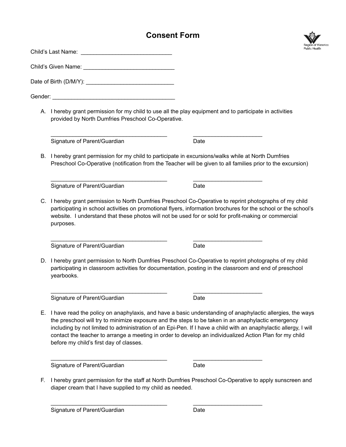#### **Consent Form**



| Gender: Contract Contract Contract Contract Contract Contract Contract Contract Contract Contract Contract Contract Contract Contract Contract Contract Contract Contract Contract Contract Contract Contract Contract Contrac                                                                                                                                                                                                                                                               |      |  |
|----------------------------------------------------------------------------------------------------------------------------------------------------------------------------------------------------------------------------------------------------------------------------------------------------------------------------------------------------------------------------------------------------------------------------------------------------------------------------------------------|------|--|
| A. I hereby grant permission for my child to use all the play equipment and to participate in activities<br>provided by North Dumfries Preschool Co-Operative.                                                                                                                                                                                                                                                                                                                               |      |  |
| Signature of Parent/Guardian                                                                                                                                                                                                                                                                                                                                                                                                                                                                 | Date |  |
| B. I hereby grant permission for my child to participate in excursions/walks while at North Dumfries<br>Preschool Co-Operative (notification from the Teacher will be given to all families prior to the excursion)                                                                                                                                                                                                                                                                          |      |  |
| Signature of Parent/Guardian                                                                                                                                                                                                                                                                                                                                                                                                                                                                 | Date |  |
| C. I hereby grant permission to North Dumfries Preschool Co-Operative to reprint photographs of my child<br>participating in school activities on promotional flyers, information brochures for the school or the school's<br>website. I understand that these photos will not be used for or sold for profit-making or commercial<br>purposes.                                                                                                                                              |      |  |
| Signature of Parent/Guardian                                                                                                                                                                                                                                                                                                                                                                                                                                                                 | Date |  |
| D. I hereby grant permission to North Dumfries Preschool Co-Operative to reprint photographs of my child<br>participating in classroom activities for documentation, posting in the classroom and end of preschool<br>yearbooks.                                                                                                                                                                                                                                                             |      |  |
| Signature of Parent/Guardian                                                                                                                                                                                                                                                                                                                                                                                                                                                                 | Date |  |
| E. I have read the policy on anaphylaxis, and have a basic understanding of anaphylactic allergies, the ways<br>the preschool will try to minimize exposure and the steps to be taken in an anaphylactic emergency<br>including by not limited to administration of an Epi-Pen. If I have a child with an anaphylactic allergy, I will<br>contact the teacher to arrange a meeting in order to develop an individualized Action Plan for my child<br>before my child's first day of classes. |      |  |
| Signature of Parent/Guardian                                                                                                                                                                                                                                                                                                                                                                                                                                                                 | Date |  |

F. I hereby grant permission for the staff at North Dumfries Preschool Co-Operative to apply sunscreen and diaper cream that I have supplied to my child as needed.

\_\_\_\_\_\_\_\_\_\_\_\_\_\_\_\_\_\_\_\_\_\_\_\_\_\_\_\_\_\_\_\_\_\_\_\_\_ \_\_\_\_\_\_\_\_\_\_\_\_\_\_\_\_\_\_\_\_\_\_

Signature of Parent/Guardian Date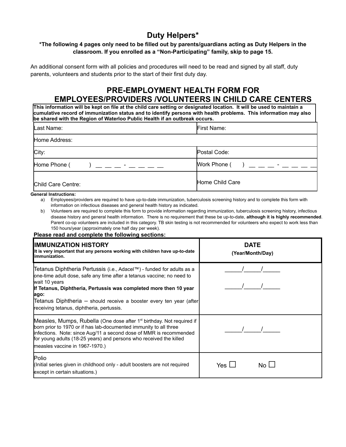#### **Duty Helpers\***

#### \*The following 4 pages only need to be filled out by parents/guardians acting as Duty Helpers in the **classroom. If you enrolled as a "Non-Participating" family, skip to page 15.**

An additional consent form with all policies and procedures will need to be read and signed by all staff, duty parents, volunteers and students prior to the start of their first duty day.

#### **PRE-EMPLOYMENT HEALTH FORM FOR EMPLOYEES/PROVIDERS /VOLUNTEERS IN CHILD CARE CENTERS**

**This information will be kept on file at the child care setting or designated location. It will be used to maintain a cumulative record of immunization status and to identify persons with health problems. This information may also be shared with the Region of Waterloo Public Health if an outbreak occurs.**

| Last Name:                                   | First Name:                               |
|----------------------------------------------|-------------------------------------------|
| Home Address:                                |                                           |
| City:                                        | Postal Code:                              |
| Home Phone (<br>) — — — <sup>-</sup> — — — — | Work Phone (<br>$\rightarrow$ - - - - - - |
| Child Care Centre:                           | Home Child Care                           |

#### **General Instructions:**

a) Employees/providers are required to have up-to-date immunization, tuberculosis screening history and to complete this form with information on infectious diseases and general health history as indicated.

b) Volunteers are required to complete this form to provide information regarding immunization, tuberculosis screening history, infectious disease history and general health information. There is no requirement that these be up-to-date, **although it is highly recommended**. Parent co-op volunteers are included in this category. TB skin testing is not recommended for volunteers who expect to work less than 150 hours/year (approximately one half day per week).

#### **Please read and complete the following sections:**

| IMMUNIZATION HISTORY<br>It is very important that any persons working with children have up-to-date<br>immunization.                                                                                                                                                                                                                                                | <b>DATE</b><br>(Year/Month/Day)                       |
|---------------------------------------------------------------------------------------------------------------------------------------------------------------------------------------------------------------------------------------------------------------------------------------------------------------------------------------------------------------------|-------------------------------------------------------|
| ∏etanus Diphtheria Pertussis (i.e., Adacel™) - funded for adults as a<br>one-time adult dose, safe any time after a tetanus vaccine; no need to<br>wait 10 years<br>If Tetanus, Diphtheria, Pertussis was completed more then 10 year<br>ago:<br>[Tetanus Diphtheria – should receive a booster every ten year (after)<br>receiving tetanus, diphtheria, pertussis. |                                                       |
| Measles, Mumps, Rubella (One dose after 1 <sup>st</sup> birthday. Not required if<br>born prior to 1970 or if has lab-documented immunity to all three<br>infections. Note: since Aug/11 a second dose of MMR is recommended<br>for young adults (18-25 years) and persons who received the killed<br>measles vaccine in 1967-1970.)                                |                                                       |
| <b>Polio</b><br>(Initial series given in childhood only - adult boosters are not required<br>except in certain situations.)                                                                                                                                                                                                                                         | Yes $\mathsf{\mathsf{L}}$<br>No $\mathsf{\mathsf{L}}$ |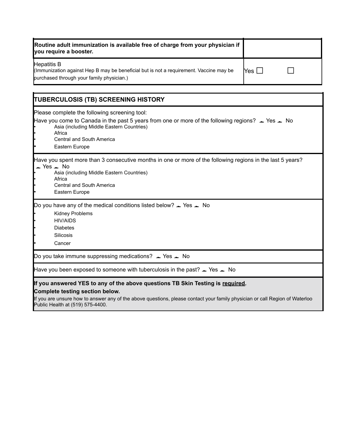| Routine adult immunization is available free of charge from your physician if<br>you require a booster.                                            |        |  |
|----------------------------------------------------------------------------------------------------------------------------------------------------|--------|--|
| Hepatitis B<br>(Immunization against Hep B may be beneficial but is not a requirement. Vaccine may be<br>purchased through your family physician.) | lYes I |  |

| <b>TUBERCULOSIS (TB) SCREENING HISTORY</b>                                                                                                                                                                                                                                                       |
|--------------------------------------------------------------------------------------------------------------------------------------------------------------------------------------------------------------------------------------------------------------------------------------------------|
| Please complete the following screening tool:<br>Have you come to Canada in the past 5 years from one or more of the following regions? $\blacktriangleright$ Yes $\blacktriangleright$ No<br>Asia (including Middle Eastern Countries)<br>Africa<br>Central and South America<br>Eastern Europe |
| Have you spent more than 3 consecutive months in one or more of the following regions in the last 5 years?<br>$\angle$ Yes $\angle$ No<br>Asia (including Middle Eastern Countries)<br>Africa<br>Central and South America<br>Eastern Europe                                                     |
| Do you have any of the medical conditions listed below? $\angle$ Yes $\angle$ No<br>Kidney Problems<br><b>HIV/AIDS</b><br><b>Diabetes</b><br>Silicosis<br>Cancer                                                                                                                                 |
| Do you take immune suppressing medications? $\angle$ Yes $\angle$ No                                                                                                                                                                                                                             |
| Have you been exposed to someone with tuberculosis in the past? $\angle$ Yes $\angle$ No                                                                                                                                                                                                         |
| If you answered YES to any of the above questions TB Skin Testing is required.<br>Complete testing section below.<br>If you are unsure how to answer any of the above questions, please contact your family physician or call Region of Waterloo<br>Public Health at (519) 575-4400.             |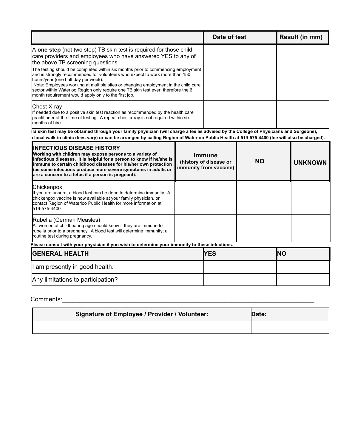|                                                                                                                                                                                                                                                                                                                                                                                                                                           | Date of test | <b>Result (in mm)</b> |
|-------------------------------------------------------------------------------------------------------------------------------------------------------------------------------------------------------------------------------------------------------------------------------------------------------------------------------------------------------------------------------------------------------------------------------------------|--------------|-----------------------|
| A one step (not two step) TB skin test is required for those child<br>care providers and employees who have answered YES to any of<br>the above TB screening questions.                                                                                                                                                                                                                                                                   |              |                       |
| The testing should be completed within six months prior to commencing employment<br>and is strongly recommended for volunteers who expect to work more than 150<br>hours/year (one half day per week).<br>Note: Employees working at multiple sites or changing employment in the child care<br>sector within Waterloo Region only require one TB skin test ever; therefore the 6<br>month requirement would apply only to the first job. |              |                       |
| Chest X-ray<br>If needed due to a positive skin test reaction as recommended by the health care<br>practitioner at the time of testing. A repeat chest x-ray is not required within six<br>months of hire.                                                                                                                                                                                                                                |              |                       |

TB skin test may be obtained through your family physician (will charge a fee as advised by the College of Physicians and Surgeons), a local walk-in clinic (fees vary) or can be arranged by calling Region of Waterloo Public Health at 519-575-4400 (fee will also be charged).

| <b>IINFECTIOUS DISEASE HISTORY</b><br>Working with children may expose persons to a variety of<br>infectious diseases. It is helpful for a person to know if he/she is<br>immune to certain childhood diseases for his/her own protection<br>(as some infections produce more severe symptoms in adults or<br>are a concern to a fetus if a person is pregnant). | <b>Immune</b><br>(history of disease or<br>immunity from vaccine) | <b>NO</b>  | <b>UNKNOWN</b> |
|------------------------------------------------------------------------------------------------------------------------------------------------------------------------------------------------------------------------------------------------------------------------------------------------------------------------------------------------------------------|-------------------------------------------------------------------|------------|----------------|
| Chickenpox<br>If you are unsure, a blood test can be done to determine immunity. A<br>chickenpox vaccine is now available at your family physician, or<br>contact Region of Waterloo Public Health for more information at<br>519-575-4400                                                                                                                       |                                                                   |            |                |
| Rubella (German Measles)<br>All women of childbearing age should know if they are immune to<br>rubella prior to a pregnancy. A blood test will determine immunity; a<br>routine test during pregnancy.                                                                                                                                                           |                                                                   |            |                |
| Please consult with your physician if you wish to determine your immunity to these infections.                                                                                                                                                                                                                                                                   |                                                                   |            |                |
| <b>GENERAL HEALTH</b>                                                                                                                                                                                                                                                                                                                                            | <b>YES</b>                                                        | <b>INO</b> |                |
| I am presently in good health.                                                                                                                                                                                                                                                                                                                                   |                                                                   |            |                |
| Any limitations to participation?                                                                                                                                                                                                                                                                                                                                |                                                                   |            |                |

Comments:\_\_\_\_\_\_\_\_\_\_\_\_\_\_\_\_\_\_\_\_\_\_\_\_\_\_\_\_\_\_\_\_\_\_\_\_\_\_\_\_\_\_\_\_\_\_\_\_\_\_\_\_\_\_\_\_\_\_\_\_\_\_\_\_\_\_\_\_\_\_\_\_\_

| <b>Signature of Employee / Provider / Volunteer:</b> | Date: |
|------------------------------------------------------|-------|
|                                                      |       |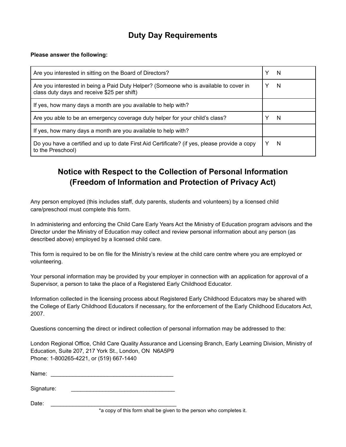## **Duty Day Requirements**

#### **Please answer the following:**

| Are you interested in sitting on the Board of Directors?                                                                             | Y | N |
|--------------------------------------------------------------------------------------------------------------------------------------|---|---|
| Are you interested in being a Paid Duty Helper? (Someone who is available to cover in<br>class duty days and receive \$25 per shift) |   | N |
| If yes, how many days a month are you available to help with?                                                                        |   |   |
| Are you able to be an emergency coverage duty helper for your child's class?                                                         |   | N |
| If yes, how many days a month are you available to help with?                                                                        |   |   |
| Do you have a certified and up to date First Aid Certificate? (if yes, please provide a copy<br>to the Preschool)                    |   | N |

## **Notice with Respect to the Collection of Personal Information (Freedom of Information and Protection of Privacy Act)**

Any person employed (this includes staff, duty parents, students and volunteers) by a licensed child care/preschool must complete this form.

In administering and enforcing the Child Care Early Years Act the Ministry of Education program advisors and the Director under the Ministry of Education may collect and review personal information about any person (as described above) employed by a licensed child care.

This form is required to be on file for the Ministry's review at the child care centre where you are employed or volunteering.

Your personal information may be provided by your employer in connection with an application for approval of a Supervisor, a person to take the place of a Registered Early Childhood Educator.

Information collected in the licensing process about Registered Early Childhood Educators may be shared with the College of Early Childhood Educators if necessary, for the enforcement of the Early Childhood Educators Act, 2007.

Questions concerning the direct or indirect collection of personal information may be addressed to the:

London Regional Office, Child Care Quality Assurance and Licensing Branch, Early Learning Division, Ministry of Education, Suite 207, 217 York St., London, ON N6A5P9 Phone: 1-800265-4221, or (519) 667-1440

Name:

Signature:

Date: \_\_\_\_\_\_\_\_\_\_\_\_\_\_\_\_\_\_\_\_\_\_\_\_\_\_\_\_\_\_\_\_\_\_\_\_\_\_\_\_

\*a copy of this form shall be given to the person who completes it.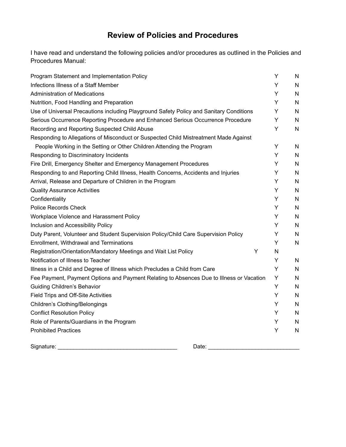#### **Review of Policies and Procedures**

I have read and understand the following policies and/or procedures as outlined in the Policies and Procedures Manual:

| Program Statement and Implementation Policy                                              | Y | N            |
|------------------------------------------------------------------------------------------|---|--------------|
| Infections Illness of a Staff Member                                                     | Υ | $\mathsf{N}$ |
| <b>Administration of Medications</b>                                                     | Υ | N            |
| Nutrition, Food Handling and Preparation                                                 | Y | N            |
| Use of Universal Precautions including Playground Safety Policy and Sanitary Conditions  | Υ | N            |
| Serious Occurrence Reporting Procedure and Enhanced Serious Occurrence Procedure         | Y | $\mathsf{N}$ |
| Recording and Reporting Suspected Child Abuse                                            | Υ | $\mathsf{N}$ |
| Responding to Allegations of Misconduct or Suspected Child Mistreatment Made Against     |   |              |
| People Working in the Setting or Other Children Attending the Program                    | Υ | N            |
| Responding to Discriminatory Incidents                                                   | Υ | $\mathsf{N}$ |
| Fire Drill, Emergency Shelter and Emergency Management Procedures                        | Y | N            |
| Responding to and Reporting Child Illness, Health Concerns, Accidents and Injuries       | Υ | N            |
| Arrival, Release and Departure of Children in the Program                                | Υ | N            |
| <b>Quality Assurance Activities</b>                                                      | Υ | N            |
| Confidentiality                                                                          | Y | N            |
| <b>Police Records Check</b>                                                              | Υ | N            |
| Workplace Violence and Harassment Policy                                                 | Υ | N            |
| Inclusion and Accessibility Policy                                                       | Y | N            |
| Duty Parent, Volunteer and Student Supervision Policy/Child Care Supervision Policy      | Y | N            |
| Enrollment, Withdrawal and Terminations                                                  | Y | N            |
| Y<br>Registration/Orientation/Mandatory Meetings and Wait List Policy                    | N |              |
| Notification of Illness to Teacher                                                       | Υ | N            |
| Illness in a Child and Degree of Illness which Precludes a Child from Care               | Υ | N            |
| Fee Payment, Payment Options and Payment Relating to Absences Due to Illness or Vacation | Y | N            |
| <b>Guiding Children's Behavior</b>                                                       | Υ | N            |
| Field Trips and Off-Site Activities                                                      | Y | N            |
| Children's Clothing/Belongings                                                           | Y | N            |
| <b>Conflict Resolution Policy</b>                                                        | Υ | N            |
| Role of Parents/Guardians in the Program                                                 | Y | N            |
| <b>Prohibited Practices</b>                                                              | Υ | N            |

Signature: \_\_\_\_\_\_\_\_\_\_\_\_\_\_\_\_\_\_\_\_\_\_\_\_\_\_\_\_\_\_\_\_\_\_\_\_\_\_ Date: \_\_\_\_\_\_\_\_\_\_\_\_\_\_\_\_\_\_\_\_\_\_\_\_\_\_\_\_\_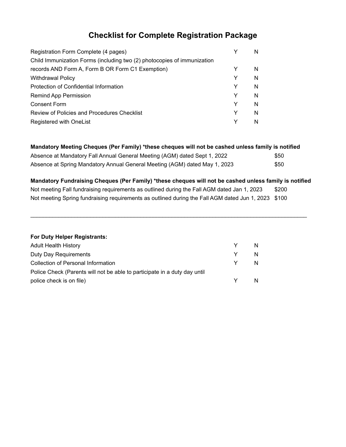# **Checklist for Complete Registration Package**

| Registration Form Complete (4 pages)                                    |   | N. |
|-------------------------------------------------------------------------|---|----|
| Child Immunization Forms (including two (2) photocopies of immunization |   |    |
| records AND Form A, Form B OR Form C1 Exemption)                        |   | N  |
| <b>Withdrawal Policy</b>                                                | Y | N  |
| Protection of Confidential Information                                  | Y | N  |
| Remind App Permission                                                   | Y | N  |
| <b>Consent Form</b>                                                     | Y | N  |
| Review of Policies and Procedures Checklist                             | Y | N  |
| Registered with OneList                                                 |   | N  |

| Mandatory Meeting Cheques (Per Family) *these cheques will not be cashed unless family is notified |      |
|----------------------------------------------------------------------------------------------------|------|
| Absence at Mandatory Fall Annual General Meeting (AGM) dated Sept 1, 2022                          | \$50 |
| Absence at Spring Mandatory Annual General Meeting (AGM) dated May 1, 2023                         | \$50 |

**Mandatory Fundraising Cheques (Per Family) \*these cheques will not be cashed unless family is notified** Not meeting Fall fundraising requirements as outlined during the Fall AGM dated Jan 1, 2023 \$200 Not meeting Spring fundraising requirements as outlined during the Fall AGM dated Jun 1, 2023 \$100

 $\_$  ,  $\_$  ,  $\_$  ,  $\_$  ,  $\_$  ,  $\_$  ,  $\_$  ,  $\_$  ,  $\_$  ,  $\_$  ,  $\_$  ,  $\_$  ,  $\_$  ,  $\_$  ,  $\_$  ,  $\_$  ,  $\_$  ,  $\_$  ,  $\_$  ,  $\_$  ,  $\_$  ,  $\_$  ,  $\_$  ,  $\_$  ,  $\_$  ,  $\_$  ,  $\_$  ,  $\_$  ,  $\_$  ,  $\_$  ,  $\_$  ,  $\_$  ,  $\_$  ,  $\_$  ,  $\_$  ,  $\_$  ,  $\_$  ,

| For Duty Helper Registrants:                                              |   |   |
|---------------------------------------------------------------------------|---|---|
| <b>Adult Health History</b>                                               | Y | N |
| Duty Day Requirements                                                     | Y | N |
| Collection of Personal Information                                        | Y | N |
| Police Check (Parents will not be able to participate in a duty day until |   |   |
| police check is on file)                                                  |   |   |